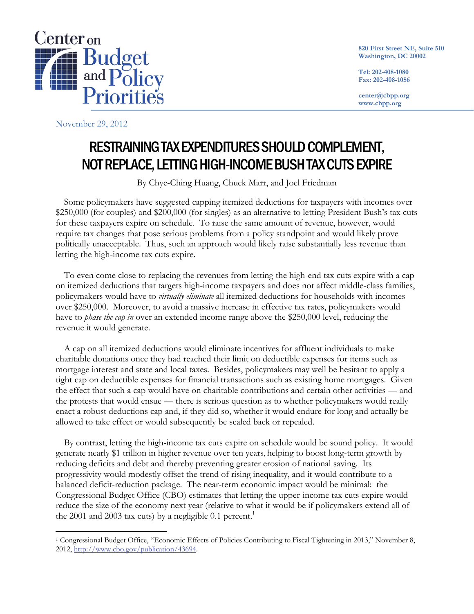

**820 First Street NE, Suite 510 Washington, DC 20002** 

**Tel: 202-408-1080 Fax: 202-408-1056** 

**center@cbpp.org www.cbpp.org** 

November 29, 2012

 $\overline{a}$ 

# RESTRAINING TAX EXPENDITURES SHOULD COMPLEMENT, NOT REPLACE, LETTING HIGH-INCOME BUSH TAX CUTS EXPIRE

By Chye-Ching Huang, Chuck Marr, and Joel Friedman

Some policymakers have suggested capping itemized deductions for taxpayers with incomes over \$250,000 (for couples) and \$200,000 (for singles) as an alternative to letting President Bush's tax cuts for these taxpayers expire on schedule. To raise the same amount of revenue, however, would require tax changes that pose serious problems from a policy standpoint and would likely prove politically unacceptable. Thus, such an approach would likely raise substantially less revenue than letting the high-income tax cuts expire.

To even come close to replacing the revenues from letting the high-end tax cuts expire with a cap on itemized deductions that targets high-income taxpayers and does not affect middle-class families, policymakers would have to *virtually eliminate* all itemized deductions for households with incomes over \$250,000. Moreover, to avoid a massive increase in effective tax rates, policymakers would have to *phase the cap in* over an extended income range above the \$250,000 level, reducing the revenue it would generate.

A cap on all itemized deductions would eliminate incentives for affluent individuals to make charitable donations once they had reached their limit on deductible expenses for items such as mortgage interest and state and local taxes. Besides, policymakers may well be hesitant to apply a tight cap on deductible expenses for financial transactions such as existing home mortgages. Given the effect that such a cap would have on charitable contributions and certain other activities — and the protests that would ensue — there is serious question as to whether policymakers would really enact a robust deductions cap and, if they did so, whether it would endure for long and actually be allowed to take effect or would subsequently be scaled back or repealed.

By contrast, letting the high-income tax cuts expire on schedule would be sound policy. It would generate nearly \$1 trillion in higher revenue over ten years, helping to boost long-term growth by reducing deficits and debt and thereby preventing greater erosion of national saving. Its progressivity would modestly offset the trend of rising inequality, and it would contribute to a balanced deficit-reduction package. The near-term economic impact would be minimal: the Congressional Budget Office (CBO) estimates that letting the upper-income tax cuts expire would reduce the size of the economy next year (relative to what it would be if policymakers extend all of the 2001 and 2003 tax cuts) by a negligible 0.1 percent.<sup>1</sup>

<sup>1</sup> Congressional Budget Office, "Economic Effects of Policies Contributing to Fiscal Tightening in 2013," November 8, 2012, http://www.cbo.gov/publication/43694.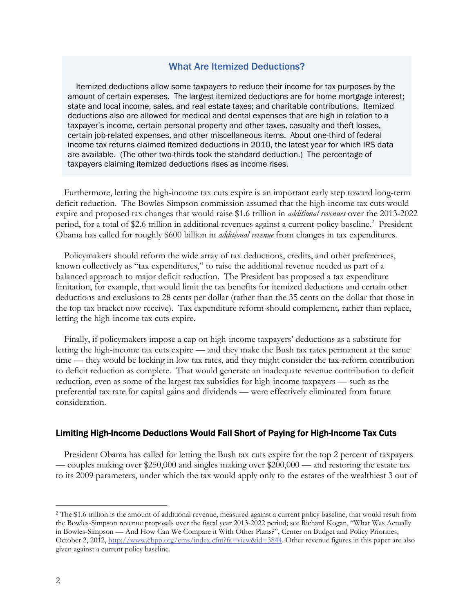# What Are Itemized Deductions?

Itemized deductions allow some taxpayers to reduce their income for tax purposes by the amount of certain expenses. The largest itemized deductions are for home mortgage interest; state and local income, sales, and real estate taxes; and charitable contributions. Itemized deductions also are allowed for medical and dental expenses that are high in relation to a taxpayer's income, certain personal property and other taxes, casualty and theft losses, certain job-related expenses, and other miscellaneous items. About one-third of federal income tax returns claimed itemized deductions in 2010, the latest year for which IRS data are available. (The other two-thirds took the standard deduction.) The percentage of taxpayers claiming itemized deductions rises as income rises.

Furthermore, letting the high-income tax cuts expire is an important early step toward long-term deficit reduction. The Bowles-Simpson commission assumed that the high-income tax cuts would expire and proposed tax changes that would raise \$1.6 trillion in *additional revenues* over the 2013-2022 period, for a total of \$2.6 trillion in additional revenues against a current-policy baseline.<sup>2</sup> President Obama has called for roughly \$600 billion in *additional revenue* from changes in tax expenditures.

Policymakers should reform the wide array of tax deductions, credits, and other preferences, known collectively as "tax expenditures," to raise the additional revenue needed as part of a balanced approach to major deficit reduction. The President has proposed a tax expenditure limitation, for example, that would limit the tax benefits for itemized deductions and certain other deductions and exclusions to 28 cents per dollar (rather than the 35 cents on the dollar that those in the top tax bracket now receive). Tax expenditure reform should complement*,* rather than replace, letting the high-income tax cuts expire.

Finally, if policymakers impose a cap on high-income taxpayers' deductions as a substitute for letting the high-income tax cuts expire — and they make the Bush tax rates permanent at the same time — they would be locking in low tax rates, and they might consider the tax-reform contribution to deficit reduction as complete. That would generate an inadequate revenue contribution to deficit reduction, even as some of the largest tax subsidies for high-income taxpayers — such as the preferential tax rate for capital gains and dividends — were effectively eliminated from future consideration.

#### Limiting High-Income Deductions Would Fall Short of Paying for High-Income Tax Cuts

President Obama has called for letting the Bush tax cuts expire for the top 2 percent of taxpayers — couples making over \$250,000 and singles making over \$200,000 — and restoring the estate tax to its 2009 parameters, under which the tax would apply only to the estates of the wealthiest 3 out of

-

<sup>&</sup>lt;sup>2</sup> The \$1.6 trillion is the amount of additional revenue, measured against a current policy baseline, that would result from the Bowles-Simpson revenue proposals over the fiscal year 2013-2022 period; see Richard Kogan, "What Was Actually in Bowles-Simpson — And How Can We Compare it With Other Plans?", Center on Budget and Policy Priorities, October 2, 2012, http://www.cbpp.org/cms/index.cfm?fa=view&id=3844. Other revenue figures in this paper are also given against a current policy baseline.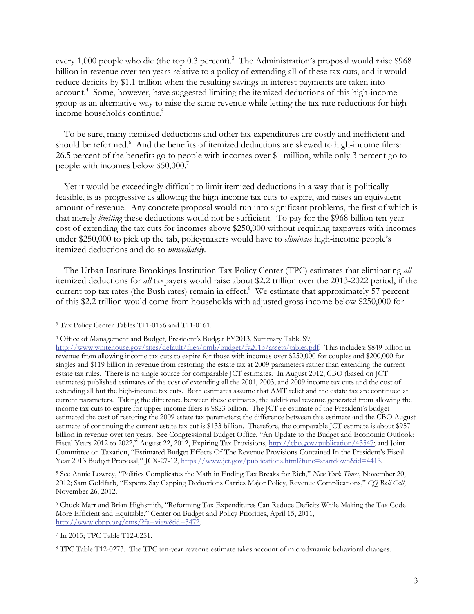every 1,000 people who die (the top 0.3 percent).<sup>3</sup> The Administration's proposal would raise \$968 billion in revenue over ten years relative to a policy of extending all of these tax cuts, and it would reduce deficits by \$1.1 trillion when the resulting savings in interest payments are taken into account.<sup>4</sup> Some, however, have suggested limiting the itemized deductions of this high-income group as an alternative way to raise the same revenue while letting the tax-rate reductions for highincome households continue.<sup>5</sup>

To be sure, many itemized deductions and other tax expenditures are costly and inefficient and should be reformed.<sup>6</sup> And the benefits of itemized deductions are skewed to high-income filers: 26.5 percent of the benefits go to people with incomes over \$1 million, while only 3 percent go to people with incomes below  $$50,000.<sup>7</sup>$ 

Yet it would be exceedingly difficult to limit itemized deductions in a way that is politically feasible, is as progressive as allowing the high-income tax cuts to expire, and raises an equivalent amount of revenue. Any concrete proposal would run into significant problems, the first of which is that merely *limiting* these deductions would not be sufficient. To pay for the \$968 billion ten-year cost of extending the tax cuts for incomes above \$250,000 without requiring taxpayers with incomes under \$250,000 to pick up the tab, policymakers would have to *eliminate* high-income people's itemized deductions and do so *immediately*.

The Urban Institute-Brookings Institution Tax Policy Center (TPC) estimates that eliminating *all*  itemized deductions for *all* taxpayers would raise about \$2.2 trillion over the 2013-2022 period, if the current top tax rates (the Bush rates) remain in effect.<sup>8</sup> We estimate that approximately 57 percent of this \$2.2 trillion would come from households with adjusted gross income below \$250,000 for

 $\overline{a}$ 

5 See Annie Lowrey, "Politics Complicates the Math in Ending Tax Breaks for Rich," *New York Times*, November 20, 2012; Sam Goldfarb, "Experts Say Capping Deductions Carries Major Policy, Revenue Complications," *CQ Roll Call*, November 26, 2012.

<sup>3</sup> Tax Policy Center Tables T11-0156 and T11-0161.

<sup>4</sup> Office of Management and Budget, President's Budget FY2013, Summary Table S9,

http://www.whitehouse.gov/sites/default/files/omb/budget/fy2013/assets/tables.pdf. This includes: \$849 billion in revenue from allowing income tax cuts to expire for those with incomes over \$250,000 for couples and \$200,000 for singles and \$119 billion in revenue from restoring the estate tax at 2009 parameters rather than extending the current estate tax rules. There is no single source for comparable JCT estimates. In August 2012, CBO (based on JCT estimates) published estimates of the cost of extending all the 2001, 2003, and 2009 income tax cuts and the cost of extending all but the high-income tax cuts. Both estimates assume that AMT relief and the estate tax are continued at current parameters. Taking the difference between these estimates, the additional revenue generated from allowing the income tax cuts to expire for upper-income filers is \$823 billion. The JCT re-estimate of the President's budget estimated the cost of restoring the 2009 estate tax parameters; the difference between this estimate and the CBO August estimate of continuing the current estate tax cut is \$133 billion. Therefore, the comparable JCT estimate is about \$957 billion in revenue over ten years. See Congressional Budget Office, "An Update to the Budget and Economic Outlook: Fiscal Years 2012 to 2022," August 22, 2012, Expiring Tax Provisions, http://cbo.gov/publication/43547; and Joint Committee on Taxation, "Estimated Budget Effects Of The Revenue Provisions Contained In the President's Fiscal Year 2013 Budget Proposal," JCX-27-12, https://www.jct.gov/publications.html?func=startdown&id=4413.

<sup>6</sup> Chuck Marr and Brian Highsmith, "Reforming Tax Expenditures Can Reduce Deficits While Making the Tax Code More Efficient and Equitable," Center on Budget and Policy Priorities, April 15, 2011, http://www.cbpp.org/cms/?fa=view&id=3472.

<sup>7</sup> In 2015; TPC Table T12-0251.

<sup>8</sup> TPC Table T12-0273. The TPC ten-year revenue estimate takes account of microdynamic behavioral changes.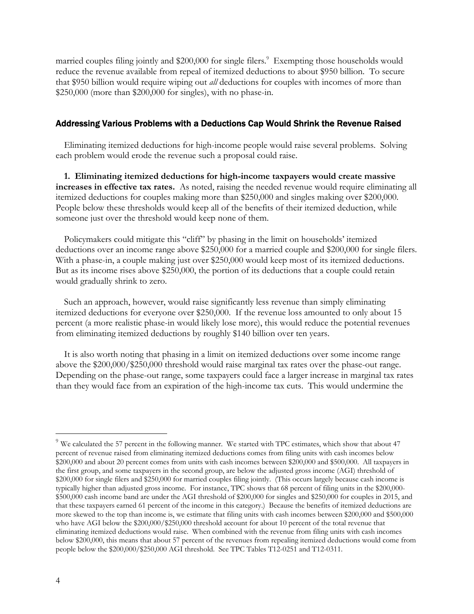married couples filing jointly and \$200,000 for single filers.<sup>9</sup> Exempting those households would reduce the revenue available from repeal of itemized deductions to about \$950 billion. To secure that \$950 billion would require wiping out *all* deductions for couples with incomes of more than \$250,000 (more than \$200,000 for singles), with no phase-in.

## Addressing Various Problems with a Deductions Cap Would Shrink the Revenue Raised

Eliminating itemized deductions for high-income people would raise several problems. Solving each problem would erode the revenue such a proposal could raise.

**1. Eliminating itemized deductions for high-income taxpayers would create massive increases in effective tax rates.** As noted, raising the needed revenue would require eliminating all itemized deductions for couples making more than \$250,000 and singles making over \$200,000. People below these thresholds would keep all of the benefits of their itemized deduction, while someone just over the threshold would keep none of them.

Policymakers could mitigate this "cliff" by phasing in the limit on households' itemized deductions over an income range above \$250,000 for a married couple and \$200,000 for single filers. With a phase-in, a couple making just over \$250,000 would keep most of its itemized deductions. But as its income rises above \$250,000, the portion of its deductions that a couple could retain would gradually shrink to zero.

Such an approach, however, would raise significantly less revenue than simply eliminating itemized deductions for everyone over \$250,000. If the revenue loss amounted to only about 15 percent (a more realistic phase-in would likely lose more), this would reduce the potential revenues from eliminating itemized deductions by roughly \$140 billion over ten years.

It is also worth noting that phasing in a limit on itemized deductions over some income range above the \$200,000/\$250,000 threshold would raise marginal tax rates over the phase-out range. Depending on the phase-out range, some taxpayers could face a larger increase in marginal tax rates than they would face from an expiration of the high-income tax cuts. This would undermine the

 $9$  We calculated the 57 percent in the following manner. We started with TPC estimates, which show that about 47 percent of revenue raised from eliminating itemized deductions comes from filing units with cash incomes below \$200,000 and about 20 percent comes from units with cash incomes between \$200,000 and \$500,000. All taxpayers in the first group, and some taxpayers in the second group, are below the adjusted gross income (AGI) threshold of \$200,000 for single filers and \$250,000 for married couples filing jointly. (This occurs largely because cash income is typically higher than adjusted gross income. For instance, TPC shows that 68 percent of filing units in the \$200,000- \$500,000 cash income band are under the AGI threshold of \$200,000 for singles and \$250,000 for couples in 2015, and that these taxpayers earned 61 percent of the income in this category.) Because the benefits of itemized deductions are more skewed to the top than income is, we estimate that filing units with cash incomes between \$200,000 and \$500,000 who have AGI below the \$200,000/\$250,000 threshold account for about 10 percent of the total revenue that eliminating itemized deductions would raise. When combined with the revenue from filing units with cash incomes below \$200,000, this means that about 57 percent of the revenues from repealing itemized deductions would come from people below the \$200,000/\$250,000 AGI threshold. See TPC Tables T12-0251 and T12-0311.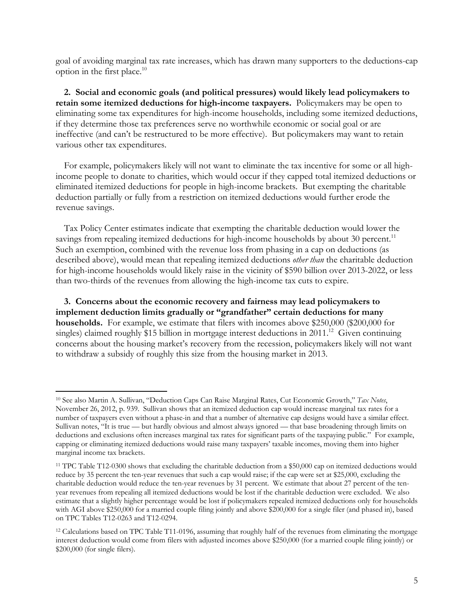goal of avoiding marginal tax rate increases, which has drawn many supporters to the deductions-cap option in the first place.<sup>10</sup>

**2. Social and economic goals (and political pressures) would likely lead policymakers to retain some itemized deductions for high-income taxpayers.** Policymakers may be open to eliminating some tax expenditures for high-income households, including some itemized deductions, if they determine those tax preferences serve no worthwhile economic or social goal or are ineffective (and can't be restructured to be more effective). But policymakers may want to retain various other tax expenditures.

For example, policymakers likely will not want to eliminate the tax incentive for some or all highincome people to donate to charities, which would occur if they capped total itemized deductions or eliminated itemized deductions for people in high-income brackets. But exempting the charitable deduction partially or fully from a restriction on itemized deductions would further erode the revenue savings.

Tax Policy Center estimates indicate that exempting the charitable deduction would lower the savings from repealing itemized deductions for high-income households by about 30 percent.<sup>11</sup> Such an exemption, combined with the revenue loss from phasing in a cap on deductions (as described above), would mean that repealing itemized deductions *other than* the charitable deduction for high-income households would likely raise in the vicinity of \$590 billion over 2013-2022, or less than two-thirds of the revenues from allowing the high-income tax cuts to expire.

**3. Concerns about the economic recovery and fairness may lead policymakers to implement deduction limits gradually or "grandfather" certain deductions for many households.** For example, we estimate that filers with incomes above \$250,000 (\$200,000 for singles) claimed roughly \$15 billion in mortgage interest deductions in  $2011$ <sup>12</sup> Given continuing concerns about the housing market's recovery from the recession, policymakers likely will not want to withdraw a subsidy of roughly this size from the housing market in 2013.

<sup>10</sup> See also Martin A. Sullivan, "Deduction Caps Can Raise Marginal Rates, Cut Economic Growth," *Tax Notes*, November 26, 2012, p. 939. Sullivan shows that an itemized deduction cap would increase marginal tax rates for a number of taxpayers even without a phase-in and that a number of alternative cap designs would have a similar effect. Sullivan notes, "It is true — but hardly obvious and almost always ignored — that base broadening through limits on deductions and exclusions often increases marginal tax rates for significant parts of the taxpaying public." For example, capping or eliminating itemized deductions would raise many taxpayers' taxable incomes, moving them into higher marginal income tax brackets.

<sup>11</sup> TPC Table T12-0300 shows that excluding the charitable deduction from a \$50,000 cap on itemized deductions would reduce by 35 percent the ten-year revenues that such a cap would raise; if the cap were set at \$25,000, excluding the charitable deduction would reduce the ten-year revenues by 31 percent. We estimate that about 27 percent of the tenyear revenues from repealing all itemized deductions would be lost if the charitable deduction were excluded. We also estimate that a slightly higher percentage would be lost if policymakers repealed itemized deductions only for households with AGI above \$250,000 for a married couple filing jointly and above \$200,000 for a single filer (and phased in), based on TPC Tables T12-0263 and T12-0294.

<sup>12</sup> Calculations based on TPC Table T11-0196, assuming that roughly half of the revenues from eliminating the mortgage interest deduction would come from filers with adjusted incomes above \$250,000 (for a married couple filing jointly) or \$200,000 (for single filers).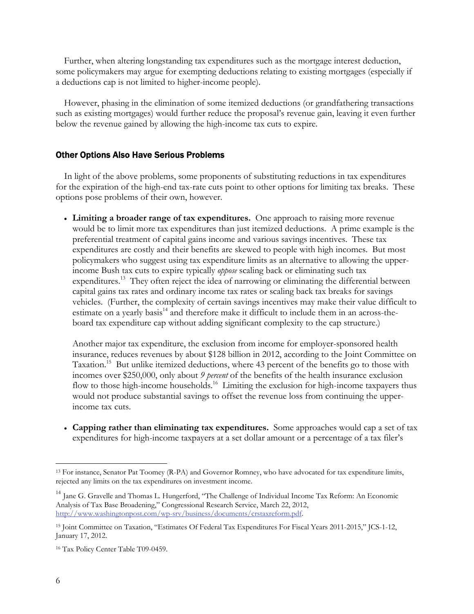Further, when altering longstanding tax expenditures such as the mortgage interest deduction, some policymakers may argue for exempting deductions relating to existing mortgages (especially if a deductions cap is not limited to higher-income people).

However, phasing in the elimination of some itemized deductions (or grandfathering transactions such as existing mortgages) would further reduce the proposal's revenue gain, leaving it even further below the revenue gained by allowing the high-income tax cuts to expire.

#### Other Options Also Have Serious Problems

In light of the above problems, some proponents of substituting reductions in tax expenditures for the expiration of the high-end tax-rate cuts point to other options for limiting tax breaks. These options pose problems of their own, however.

 **Limiting a broader range of tax expenditures.** One approach to raising more revenue would be to limit more tax expenditures than just itemized deductions. A prime example is the preferential treatment of capital gains income and various savings incentives. These tax expenditures are costly and their benefits are skewed to people with high incomes. But most policymakers who suggest using tax expenditure limits as an alternative to allowing the upperincome Bush tax cuts to expire typically *oppose* scaling back or eliminating such tax expenditures.<sup>13</sup> They often reject the idea of narrowing or eliminating the differential between capital gains tax rates and ordinary income tax rates or scaling back tax breaks for savings vehicles. (Further, the complexity of certain savings incentives may make their value difficult to estimate on a yearly basis<sup>14</sup> and therefore make it difficult to include them in an across-theboard tax expenditure cap without adding significant complexity to the cap structure.)

Another major tax expenditure, the exclusion from income for employer-sponsored health insurance, reduces revenues by about \$128 billion in 2012, according to the Joint Committee on Taxation.<sup>15</sup> But unlike itemized deductions, where 43 percent of the benefits go to those with incomes over \$250,000, only about *9 percent* of the benefits of the health insurance exclusion flow to those high-income households.<sup>16</sup> Limiting the exclusion for high-income taxpayers thus would not produce substantial savings to offset the revenue loss from continuing the upperincome tax cuts.

 **Capping rather than eliminating tax expenditures.** Some approaches would cap a set of tax expenditures for high-income taxpayers at a set dollar amount or a percentage of a tax filer's

<sup>13</sup> For instance, Senator Pat Toomey (R-PA) and Governor Romney, who have advocated for tax expenditure limits, rejected any limits on the tax expenditures on investment income.

<sup>&</sup>lt;sup>14</sup> Jane G. Gravelle and Thomas L. Hungerford, "The Challenge of Individual Income Tax Reform: An Economic Analysis of Tax Base Broadening," Congressional Research Service, March 22, 2012, http://www.washingtonpost.com/wp-srv/business/documents/crstaxreform.pdf.

<sup>15</sup> Joint Committee on Taxation, "Estimates Of Federal Tax Expenditures For Fiscal Years 2011-2015," JCS-1-12, January 17, 2012.

<sup>16</sup> Tax Policy Center Table T09-0459.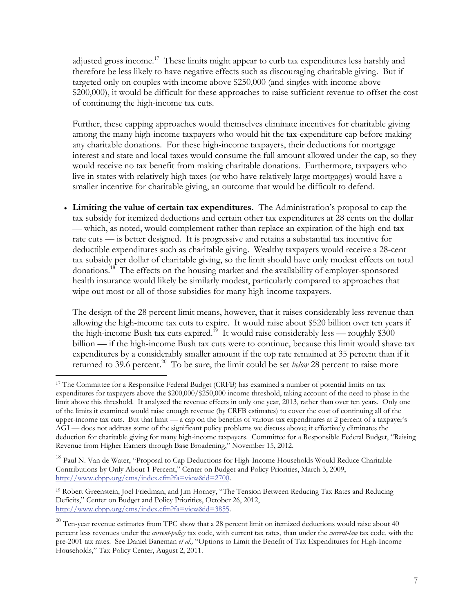adjusted gross income.<sup>17</sup> These limits might appear to curb tax expenditures less harshly and therefore be less likely to have negative effects such as discouraging charitable giving. But if targeted only on couples with income above \$250,000 (and singles with income above \$200,000), it would be difficult for these approaches to raise sufficient revenue to offset the cost of continuing the high-income tax cuts.

Further, these capping approaches would themselves eliminate incentives for charitable giving among the many high-income taxpayers who would hit the tax-expenditure cap before making any charitable donations. For these high-income taxpayers, their deductions for mortgage interest and state and local taxes would consume the full amount allowed under the cap, so they would receive no tax benefit from making charitable donations. Furthermore, taxpayers who live in states with relatively high taxes (or who have relatively large mortgages) would have a smaller incentive for charitable giving, an outcome that would be difficult to defend.

 **Limiting the value of certain tax expenditures.** The Administration's proposal to cap the tax subsidy for itemized deductions and certain other tax expenditures at 28 cents on the dollar — which, as noted, would complement rather than replace an expiration of the high-end taxrate cuts — is better designed. It is progressive and retains a substantial tax incentive for deductible expenditures such as charitable giving. Wealthy taxpayers would receive a 28-cent tax subsidy per dollar of charitable giving, so the limit should have only modest effects on total donations.<sup>18</sup> The effects on the housing market and the availability of employer-sponsored health insurance would likely be similarly modest, particularly compared to approaches that wipe out most or all of those subsidies for many high-income taxpayers.

The design of the 28 percent limit means, however, that it raises considerably less revenue than allowing the high-income tax cuts to expire. It would raise about \$520 billion over ten years if the high-income Bush tax cuts expired.<sup>19</sup> It would raise considerably less — roughly \$300 billion — if the high-income Bush tax cuts were to continue, because this limit would shave tax expenditures by a considerably smaller amount if the top rate remained at 35 percent than if it returned to 39.6 percent.<sup>20</sup> To be sure, the limit could be set *below* 28 percent to raise more

<sup>17</sup> The Committee for a Responsible Federal Budget (CRFB) has examined a number of potential limits on tax expenditures for taxpayers above the \$200,000/\$250,000 income threshold, taking account of the need to phase in the limit above this threshold. It analyzed the revenue effects in only one year, 2013, rather than over ten years. Only one of the limits it examined would raise enough revenue (by CRFB estimates) to cover the cost of continuing all of the upper-income tax cuts. But that limit — a cap on the benefits of various tax expenditures at 2 percent of a taxpayer's AGI — does not address some of the significant policy problems we discuss above; it effectively eliminates the deduction for charitable giving for many high-income taxpayers. Committee for a Responsible Federal Budget, "Raising Revenue from Higher Earners through Base Broadening," November 15, 2012.

<sup>&</sup>lt;sup>18</sup> Paul N. Van de Water, "Proposal to Cap Deductions for High-Income Households Would Reduce Charitable Contributions by Only About 1 Percent," Center on Budget and Policy Priorities, March 3, 2009, http://www.cbpp.org/cms/index.cfm?fa=view&id=2700.

<sup>19</sup> Robert Greenstein, Joel Friedman, and Jim Horney, "The Tension Between Reducing Tax Rates and Reducing Deficits," Center on Budget and Policy Priorities, October 26, 2012, http://www.cbpp.org/cms/index.cfm?fa=view&id=3855.

 $20$  Ten-year revenue estimates from TPC show that a 28 percent limit on itemized deductions would raise about 40 percent less revenues under the *current-policy* tax code, with current tax rates, than under the *current-law* tax code, with the pre-2001 tax rates. See Daniel Baneman *et al.,* "Options to Limit the Benefit of Tax Expenditures for High-Income Households," Tax Policy Center, August 2, 2011.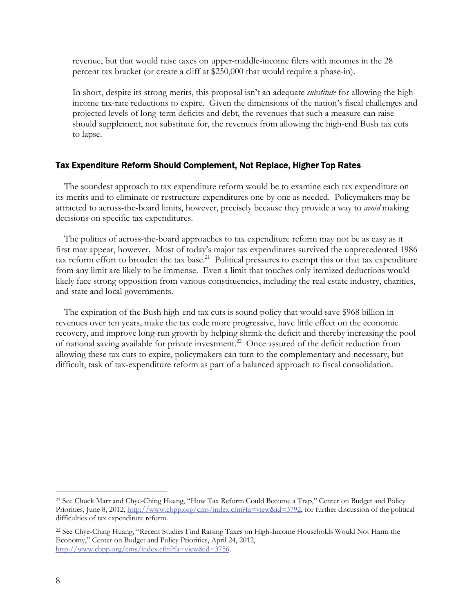revenue, but that would raise taxes on upper-middle-income filers with incomes in the 28 percent tax bracket (or create a cliff at \$250,000 that would require a phase-in).

In short, despite its strong merits, this proposal isn't an adequate *substitute* for allowing the highincome tax-rate reductions to expire. Given the dimensions of the nation's fiscal challenges and projected levels of long-term deficits and debt, the revenues that such a measure can raise should supplement, not substitute for, the revenues from allowing the high-end Bush tax cuts to lapse.

### Tax Expenditure Reform Should Complement, Not Replace, Higher Top Rates

The soundest approach to tax expenditure reform would be to examine each tax expenditure on its merits and to eliminate or restructure expenditures one by one as needed. Policymakers may be attracted to across-the-board limits, however, precisely because they provide a way to *avoid* making decisions on specific tax expenditures.

The politics of across-the-board approaches to tax expenditure reform may not be as easy as it first may appear, however. Most of today's major tax expenditures survived the unprecedented 1986 tax reform effort to broaden the tax base.<sup>21</sup> Political pressures to exempt this or that tax expenditure from any limit are likely to be immense. Even a limit that touches only itemized deductions would likely face strong opposition from various constituencies, including the real estate industry, charities, and state and local governments.

The expiration of the Bush high-end tax cuts is sound policy that would save \$968 billion in revenues over ten years, make the tax code more progressive, have little effect on the economic recovery, and improve long-run growth by helping shrink the deficit and thereby increasing the pool of national saving available for private investment.<sup>22</sup> Once assured of the deficit reduction from allowing these tax cuts to expire, policymakers can turn to the complementary and necessary, but difficult, task of tax-expenditure reform as part of a balanced approach to fiscal consolidation.

<sup>21</sup> See Chuck Marr and Chye-Ching Huang, "How Tax Reform Could Become a Trap," Center on Budget and Policy Priorities, June 8, 2012, http://www.cbpp.org/cms/index.cfm?fa=view&id=3792, for further discussion of the political difficulties of tax expenditure reform.

<sup>22</sup> See Chye-Ching Huang, "Recent Studies Find Raising Taxes on High-Income Households Would Not Harm the Economy," Center on Budget and Policy Priorities, April 24, 2012, http://www.cbpp.org/cms/index.cfm?fa=view&id=3756.